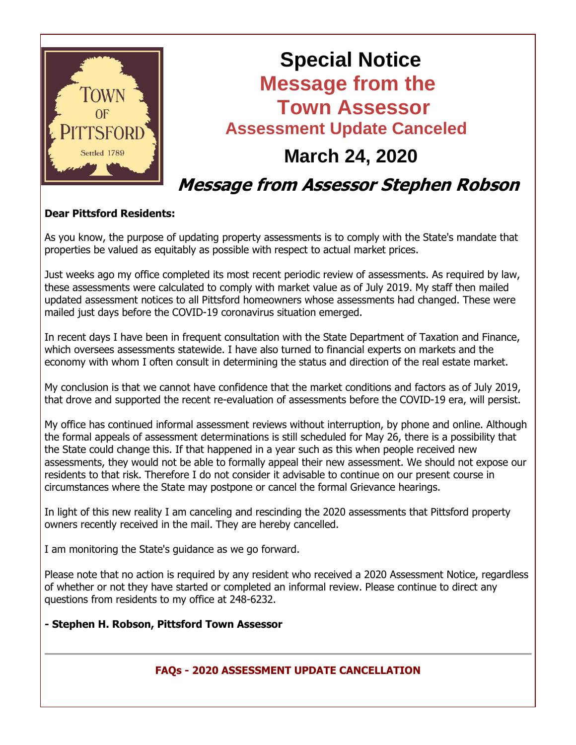

# **Special Notice Message from the Town Assessor Assessment Update Canceled March 24, 2020 Message from Assessor Stephen Robson**

## **Dear Pittsford Residents:**

As you know, the purpose of updating property assessments is to comply with the State's mandate that properties be valued as equitably as possible with respect to actual market prices.

Just weeks ago my office completed its most recent periodic review of assessments. As required by law, these assessments were calculated to comply with market value as of July 2019. My staff then mailed updated assessment notices to all Pittsford homeowners whose assessments had changed. These were mailed just days before the COVID-19 coronavirus situation emerged.

In recent days I have been in frequent consultation with the State Department of Taxation and Finance, which oversees assessments statewide. I have also turned to financial experts on markets and the economy with whom I often consult in determining the status and direction of the real estate market.

My conclusion is that we cannot have confidence that the market conditions and factors as of July 2019, that drove and supported the recent re-evaluation of assessments before the COVID-19 era, will persist.

My office has continued informal assessment reviews without interruption, by phone and online. Although the formal appeals of assessment determinations is still scheduled for May 26, there is a possibility that the State could change this. If that happened in a year such as this when people received new assessments, they would not be able to formally appeal their new assessment. We should not expose our residents to that risk. Therefore I do not consider it advisable to continue on our present course in circumstances where the State may postpone or cancel the formal Grievance hearings.

In light of this new reality I am canceling and rescinding the 2020 assessments that Pittsford property owners recently received in the mail. They are hereby cancelled.

I am monitoring the State's guidance as we go forward.

Please note that no action is required by any resident who received a 2020 Assessment Notice, regardless of whether or not they have started or completed an informal review. Please continue to direct any questions from residents to my office at 248-6232.

## **- Stephen H. Robson, Pittsford Town Assessor**

## **FAQs - 2020 ASSESSMENT UPDATE CANCELLATION**